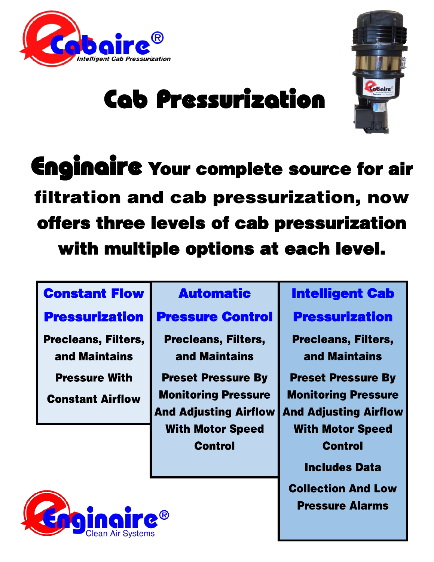



# Cab Pressurization

Enginaire Your complete source for air filtration and cab pressurization, now offers three levels of cab pressurization with multiple options at each level.

### Constant Flow

#### Automatic

### **Pressurization**

**Precleans, Filters,** and Maintains

**Pressure With** 

**Constant Airflow** 

#### Pressure Control

**Precleans, Filters,** and Maintains

**Preset Pressure By Monitoring Pressure And Adjusting Airflow With Motor Speed** Control

### Intelligent Cab

Pressurization

**Precleans, Filters,** and Maintains

**Preset Pressure By Monitoring Pressure And Adjusting Airflow With Motor Speed Control Includes Data** 

**Collection And Low Pressure Alarms** 

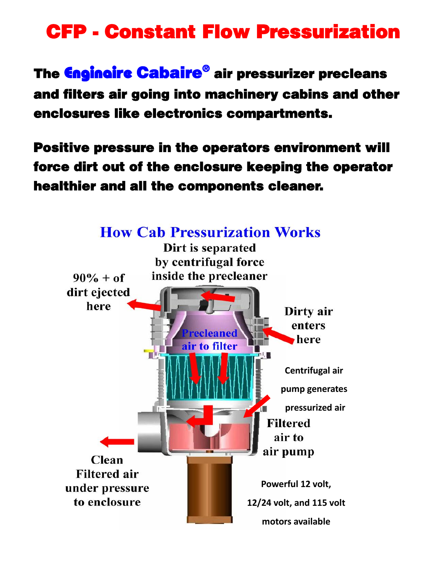### CFP - Constant Flow Pressurization

The Enginaire Cabaire® air pressurizer precleans and filters air going into machinery cabins and other enclosures like electronics compartments.

Positive pressure in the operators environment will force dirt out of the enclosure keeping the operator healthier and all the components cleaner.

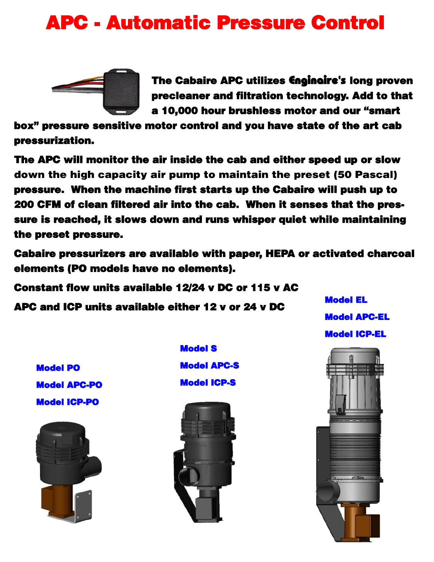### APC - Automatic Pressure Control



 The Cabaire APC utilizes Enginaire's long proven precleaner and filtration technology. Add to that a 10,000 hour brushless motor and our "smart

box" pressure sensitive motor control and you have state of the art cab pressurization.

The APC will monitor the air inside the cab and either speed up or slow down the high capacity air pump to maintain the preset (50 Pascal) pressure. When the machine first starts up the Cabaire will push up to 200 CFM of clean filtered air into the cab. When it senses that the pressure is reached, it slows down and runs whisper quiet while maintaining the preset pressure.

Cabaire pressurizers are available with paper, HEPA or activated charcoal elements (PO models have no elements).

Constant flow units available 12/24 v DC or 115 v AC

APC and ICP units available either 12 v or 24 v DC

Model EL Model APC-EL Model ICP-EL

Model PO Model APC-PO Model ICP-PO



Model S Model APC-S Model ICP-S